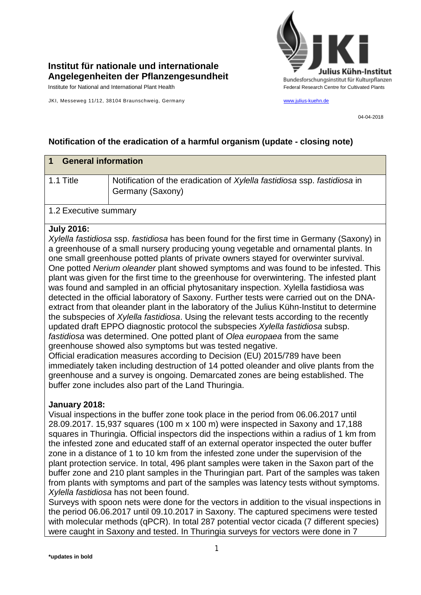

# **Institut für nationale und internationale Angelegenheiten der Pflanzengesundheit**

Institute for National and International Plant Health Feature of Cultivated Plants Federal Research Centre for Cultivated Plants

JKI, Messeweg 11/12, 38104 Braunschweig, Germany [www.julius-kuehn.de](http://www.julius-kuehn.de/)

04-04-2018

## **Notification of the eradication of a harmful organism (update - closing note)**

| <b>General information</b> |                                                                                              |  |
|----------------------------|----------------------------------------------------------------------------------------------|--|
| 1.1 Title                  | Notification of the eradication of Xylella fastidiosa ssp. fastidiosa in<br>Germany (Saxony) |  |
| 1.2 Executive summary      |                                                                                              |  |

#### **July 2016:**

*Xylella fastidiosa* ssp. *fastidiosa* has been found for the first time in Germany (Saxony) in a greenhouse of a small nursery producing young vegetable and ornamental plants. In one small greenhouse potted plants of private owners stayed for overwinter survival. One potted *Nerium oleander* plant showed symptoms and was found to be infested. This plant was given for the first time to the greenhouse for overwintering. The infested plant was found and sampled in an official phytosanitary inspection. Xylella fastidiosa was detected in the official laboratory of Saxony. Further tests were carried out on the DNAextract from that oleander plant in the laboratory of the Julius Kühn-Institut to determine the subspecies of *Xylella fastidiosa*. Using the relevant tests according to the recently updated draft EPPO diagnostic protocol the subspecies *Xylella fastidiosa* subsp. *fastidiosa* was determined. One potted plant of *Olea europaea* from the same greenhouse showed also symptoms but was tested negative.

Official eradication measures according to Decision (EU) 2015/789 have been immediately taken including destruction of 14 potted oleander and olive plants from the greenhouse and a survey is ongoing. Demarcated zones are being established. The buffer zone includes also part of the Land Thuringia.

#### **January 2018:**

Visual inspections in the buffer zone took place in the period from 06.06.2017 until 28.09.2017. 15,937 squares (100 m x 100 m) were inspected in Saxony and 17,188 squares in Thuringia. Official inspectors did the inspections within a radius of 1 km from the infested zone and educated staff of an external operator inspected the outer buffer zone in a distance of 1 to 10 km from the infested zone under the supervision of the plant protection service. In total, 496 plant samples were taken in the Saxon part of the buffer zone and 210 plant samples in the Thuringian part. Part of the samples was taken from plants with symptoms and part of the samples was latency tests without symptoms. *Xylella fastidiosa* has not been found.

Surveys with spoon nets were done for the vectors in addition to the visual inspections in the period 06.06.2017 until 09.10.2017 in Saxony. The captured specimens were tested with molecular methods (qPCR). In total 287 potential vector cicada (7 different species) were caught in Saxony and tested. In Thuringia surveys for vectors were done in 7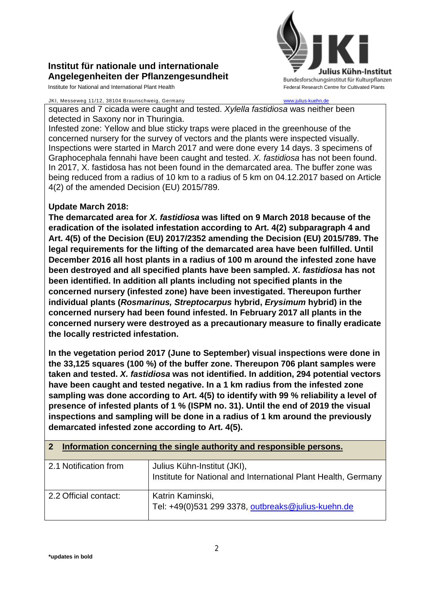# **Institut für nationale und internationale Angelegenheiten der Pflanzengesundheit**

Institute for National and International Plant Health Feature And Theorem Centre for Cultivated Plants Centre for Cultivated Plants

#### JKI, Messeweg 11/12, 38104 Braunschweig, Germany [www.julius-kuehn.de](http://www.julius-kuehn.de/)



squares and 7 cicada were caught and tested. *Xylella fastidiosa* was neither been detected in Saxony nor in Thuringia.

Infested zone: Yellow and blue sticky traps were placed in the greenhouse of the concerned nursery for the survey of vectors and the plants were inspected visually. Inspections were started in March 2017 and were done every 14 days. 3 specimens of Graphocephala fennahi have been caught and tested. *X. fastidiosa* has not been found. In 2017, X. fastidosa has not been found in the demarcated area. The buffer zone was being reduced from a radius of 10 km to a radius of 5 km on 04.12.2017 based on Article 4(2) of the amended Decision (EU) 2015/789.

## **Update March 2018:**

**The demarcated area for** *X. fastidiosa* **was lifted on 9 March 2018 because of the eradication of the isolated infestation according to Art. 4(2) subparagraph 4 and Art. 4(5) of the Decision (EU) 2017/2352 amending the Decision (EU) 2015/789. The legal requirements for the lifting of the demarcated area have been fulfilled. Until December 2016 all host plants in a radius of 100 m around the infested zone have been destroyed and all specified plants have been sampled.** *X. fastidiosa* **has not been identified. In addition all plants including not specified plants in the concerned nursery (infested zone) have been investigated. Thereupon further individual plants (***Rosmarinus, Streptocarpus* **hybrid,** *Erysimum* **hybrid) in the concerned nursery had been found infested. In February 2017 all plants in the concerned nursery were destroyed as a precautionary measure to finally eradicate the locally restricted infestation.**

**In the vegetation period 2017 (June to September) visual inspections were done in the 33,125 squares (100 %) of the buffer zone. Thereupon 706 plant samples were taken and tested.** *X. fastidiosa* **was not identified. In addition, 294 potential vectors have been caught and tested negative. In a 1 km radius from the infested zone sampling was done according to Art. 4(5) to identify with 99 % reliability a level of presence of infested plants of 1 % (ISPM no. 31). Until the end of 2019 the visual inspections and sampling will be done in a radius of 1 km around the previously demarcated infested zone according to Art. 4(5).**

#### **2 Information concerning the single authority and responsible persons.**

| 2.1 Notification from | Julius Kühn-Institut (JKI),<br>Institute for National and International Plant Health, Germany |
|-----------------------|-----------------------------------------------------------------------------------------------|
| 2.2 Official contact: | Katrin Kaminski,<br>Tel: +49(0)531 299 3378, outbreaks@julius-kuehn.de                        |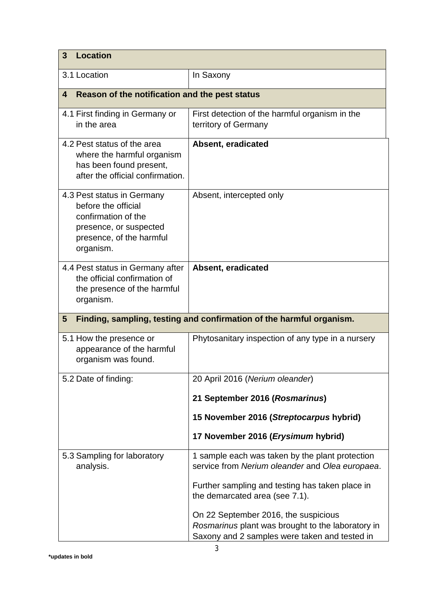| <b>Location</b><br>3                                                                                                                        |                                                                                                                                            |  |
|---------------------------------------------------------------------------------------------------------------------------------------------|--------------------------------------------------------------------------------------------------------------------------------------------|--|
| 3.1 Location                                                                                                                                | In Saxony                                                                                                                                  |  |
| Reason of the notification and the pest status<br>4                                                                                         |                                                                                                                                            |  |
| 4.1 First finding in Germany or<br>in the area                                                                                              | First detection of the harmful organism in the<br>territory of Germany                                                                     |  |
| 4.2 Pest status of the area<br>where the harmful organism<br>has been found present,<br>after the official confirmation.                    | Absent, eradicated                                                                                                                         |  |
| 4.3 Pest status in Germany<br>before the official<br>confirmation of the<br>presence, or suspected<br>presence, of the harmful<br>organism. | Absent, intercepted only                                                                                                                   |  |
| 4.4 Pest status in Germany after<br>the official confirmation of<br>the presence of the harmful<br>organism.                                | Absent, eradicated                                                                                                                         |  |
| Finding, sampling, testing and confirmation of the harmful organism.<br>$5\phantom{.0}$                                                     |                                                                                                                                            |  |
| 5.1 How the presence or<br>appearance of the harmful<br>organism was found.                                                                 | Phytosanitary inspection of any type in a nursery                                                                                          |  |
| 5.2 Date of finding:                                                                                                                        | 20 April 2016 (Nerium oleander)                                                                                                            |  |
|                                                                                                                                             | 21 September 2016 (Rosmarinus)                                                                                                             |  |
|                                                                                                                                             | 15 November 2016 (Streptocarpus hybrid)                                                                                                    |  |
|                                                                                                                                             | 17 November 2016 (Erysimum hybrid)                                                                                                         |  |
| 5.3 Sampling for laboratory<br>analysis.                                                                                                    | 1 sample each was taken by the plant protection<br>service from Nerium oleander and Olea europaea.                                         |  |
|                                                                                                                                             | Further sampling and testing has taken place in<br>the demarcated area (see 7.1).                                                          |  |
|                                                                                                                                             | On 22 September 2016, the suspicious<br>Rosmarinus plant was brought to the laboratory in<br>Saxony and 2 samples were taken and tested in |  |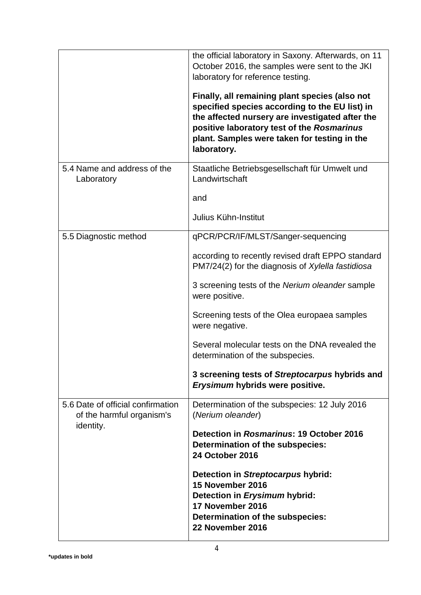|                                                                             | the official laboratory in Saxony. Afterwards, on 11<br>October 2016, the samples were sent to the JKI<br>laboratory for reference testing.<br>Finally, all remaining plant species (also not                  |
|-----------------------------------------------------------------------------|----------------------------------------------------------------------------------------------------------------------------------------------------------------------------------------------------------------|
|                                                                             | specified species according to the EU list) in<br>the affected nursery are investigated after the<br>positive laboratory test of the Rosmarinus<br>plant. Samples were taken for testing in the<br>laboratory. |
| 5.4 Name and address of the<br>Laboratory                                   | Staatliche Betriebsgesellschaft für Umwelt und<br>Landwirtschaft                                                                                                                                               |
|                                                                             | and                                                                                                                                                                                                            |
|                                                                             | Julius Kühn-Institut                                                                                                                                                                                           |
| 5.5 Diagnostic method                                                       | qPCR/PCR/IF/MLST/Sanger-sequencing                                                                                                                                                                             |
|                                                                             | according to recently revised draft EPPO standard<br>PM7/24(2) for the diagnosis of Xylella fastidiosa                                                                                                         |
|                                                                             | 3 screening tests of the Nerium oleander sample<br>were positive.                                                                                                                                              |
|                                                                             | Screening tests of the Olea europaea samples<br>were negative.                                                                                                                                                 |
|                                                                             | Several molecular tests on the DNA revealed the<br>determination of the subspecies.                                                                                                                            |
|                                                                             | 3 screening tests of Streptocarpus hybrids and<br>Erysimum hybrids were positive.                                                                                                                              |
| 5.6 Date of official confirmation<br>of the harmful organism's<br>identity. | Determination of the subspecies: 12 July 2016<br>(Nerium oleander)                                                                                                                                             |
|                                                                             | Detection in Rosmarinus: 19 October 2016<br>Determination of the subspecies:<br><b>24 October 2016</b>                                                                                                         |
|                                                                             | Detection in Streptocarpus hybrid:<br>15 November 2016<br>Detection in Erysimum hybrid:                                                                                                                        |
|                                                                             | 17 November 2016<br>Determination of the subspecies:                                                                                                                                                           |
|                                                                             | 22 November 2016                                                                                                                                                                                               |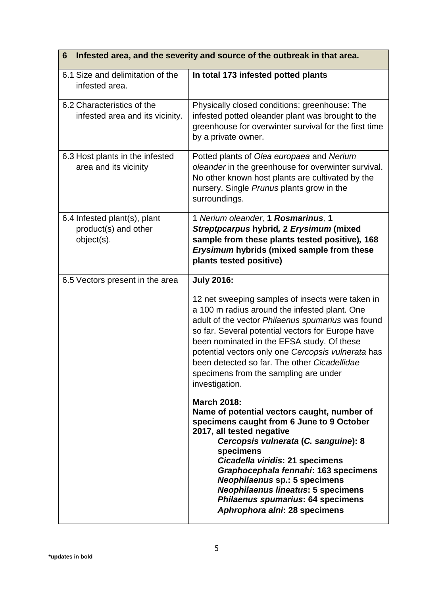| Infested area, and the severity and source of the outbreak in that area.<br>6 |                                                                                                                                                                                                                                                                                                                                                                                                                                        |  |
|-------------------------------------------------------------------------------|----------------------------------------------------------------------------------------------------------------------------------------------------------------------------------------------------------------------------------------------------------------------------------------------------------------------------------------------------------------------------------------------------------------------------------------|--|
| 6.1 Size and delimitation of the<br>infested area.                            | In total 173 infested potted plants                                                                                                                                                                                                                                                                                                                                                                                                    |  |
| 6.2 Characteristics of the<br>infested area and its vicinity.                 | Physically closed conditions: greenhouse: The<br>infested potted oleander plant was brought to the<br>greenhouse for overwinter survival for the first time<br>by a private owner.                                                                                                                                                                                                                                                     |  |
| 6.3 Host plants in the infested<br>area and its vicinity                      | Potted plants of Olea europaea and Nerium<br>oleander in the greenhouse for overwinter survival.<br>No other known host plants are cultivated by the<br>nursery. Single Prunus plants grow in the<br>surroundings.                                                                                                                                                                                                                     |  |
| 6.4 Infested plant(s), plant<br>product(s) and other<br>object(s).            | 1 Nerium oleander, 1 Rosmarinus, 1<br>Streptpcarpus hybrid, 2 Erysimum (mixed<br>sample from these plants tested positive), 168<br>Erysimum hybrids (mixed sample from these<br>plants tested positive)                                                                                                                                                                                                                                |  |
| 6.5 Vectors present in the area                                               | <b>July 2016:</b>                                                                                                                                                                                                                                                                                                                                                                                                                      |  |
|                                                                               | 12 net sweeping samples of insects were taken in<br>a 100 m radius around the infested plant. One<br>adult of the vector Philaenus spumarius was found<br>so far. Several potential vectors for Europe have<br>been nominated in the EFSA study. Of these<br>potential vectors only one Cercopsis vulnerata has<br>been detected so far. The other Cicadellidae<br>specimens from the sampling are under<br>investigation.             |  |
|                                                                               | <b>March 2018:</b><br>Name of potential vectors caught, number of<br>specimens caught from 6 June to 9 October<br>2017, all tested negative<br>Cercopsis vulnerata (C. sanguine): 8<br>specimens<br>Cicadella viridis: 21 specimens<br>Graphocephala fennahi: 163 specimens<br><b>Neophilaenus sp.: 5 specimens</b><br><b>Neophilaenus lineatus: 5 specimens</b><br>Philaenus spumarius: 64 specimens<br>Aphrophora alni: 28 specimens |  |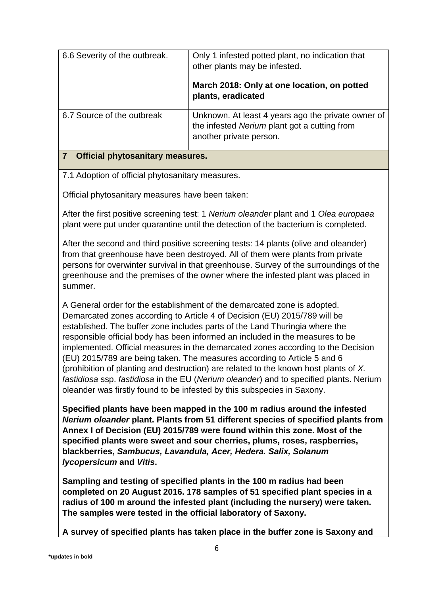| 6.6 Severity of the outbreak.           | Only 1 infested potted plant, no indication that<br>other plants may be infested.                                             |  |
|-----------------------------------------|-------------------------------------------------------------------------------------------------------------------------------|--|
|                                         | March 2018: Only at one location, on potted<br>plants, eradicated                                                             |  |
| 6.7 Source of the outbreak              | Unknown. At least 4 years ago the private owner of<br>the infested Nerium plant got a cutting from<br>another private person. |  |
| <b>Official phytosanitary measures.</b> |                                                                                                                               |  |

7.1 Adoption of official phytosanitary measures.

Official phytosanitary measures have been taken:

After the first positive screening test: 1 *Nerium oleander* plant and 1 *Olea europaea* plant were put under quarantine until the detection of the bacterium is completed.

After the second and third positive screening tests: 14 plants (olive and oleander) from that greenhouse have been destroyed. All of them were plants from private persons for overwinter survival in that greenhouse. Survey of the surroundings of the greenhouse and the premises of the owner where the infested plant was placed in summer.

A General order for the establishment of the demarcated zone is adopted. Demarcated zones according to Article 4 of Decision (EU) 2015/789 will be established. The buffer zone includes parts of the Land Thuringia where the responsible official body has been informed an included in the measures to be implemented. Official measures in the demarcated zones according to the Decision (EU) 2015/789 are being taken. The measures according to Article 5 and 6 (prohibition of planting and destruction) are related to the known host plants of *X. fastidiosa* ssp. *fastidiosa* in the EU (*Nerium oleander*) and to specified plants. Nerium oleander was firstly found to be infested by this subspecies in Saxony.

**Specified plants have been mapped in the 100 m radius around the infested**  *Nerium oleander* **plant. Plants from 51 different species of specified plants from Annex I of Decision (EU) 2015/789 were found within this zone. Most of the specified plants were sweet and sour cherries, plums, roses, raspberries, blackberries,** *Sambucus, Lavandula, Acer, Hedera. Salix, Solanum lycopersicum* **and** *Vitis***.**

**Sampling and testing of specified plants in the 100 m radius had been completed on 20 August 2016. 178 samples of 51 specified plant species in a radius of 100 m around the infested plant (including the nursery) were taken. The samples were tested in the official laboratory of Saxony.** 

**A survey of specified plants has taken place in the buffer zone is Saxony and**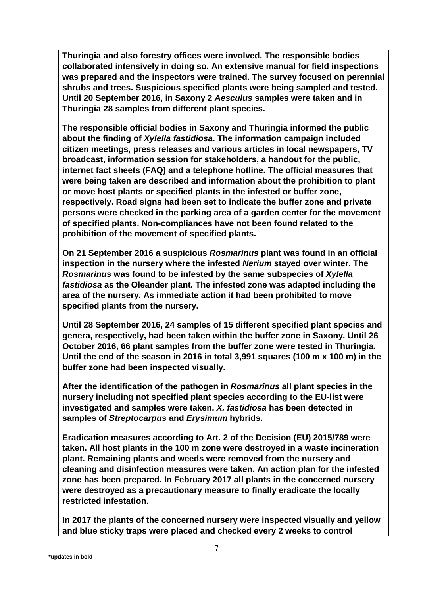**Thuringia and also forestry offices were involved. The responsible bodies collaborated intensively in doing so. An extensive manual for field inspections was prepared and the inspectors were trained. The survey focused on perennial shrubs and trees. Suspicious specified plants were being sampled and tested. Until 20 September 2016, in Saxony 2** *Aesculus* **samples were taken and in Thuringia 28 samples from different plant species.** 

**The responsible official bodies in Saxony and Thuringia informed the public about the finding of** *Xylella fastidiosa***. The information campaign included citizen meetings, press releases and various articles in local newspapers, TV broadcast, information session for stakeholders, a handout for the public, internet fact sheets (FAQ) and a telephone hotline. The official measures that were being taken are described and information about the prohibition to plant or move host plants or specified plants in the infested or buffer zone, respectively. Road signs had been set to indicate the buffer zone and private persons were checked in the parking area of a garden center for the movement of specified plants. Non-compliances have not been found related to the prohibition of the movement of specified plants.**

**On 21 September 2016 a suspicious** *Rosmarinus* **plant was found in an official inspection in the nursery where the infested** *Nerium* **stayed over winter. The**  *Rosmarinus* **was found to be infested by the same subspecies of** *Xylella fastidiosa* **as the Oleander plant. The infested zone was adapted including the area of the nursery. As immediate action it had been prohibited to move specified plants from the nursery.**

**Until 28 September 2016, 24 samples of 15 different specified plant species and genera, respectively, had been taken within the buffer zone in Saxony. Until 26 October 2016, 66 plant samples from the buffer zone were tested in Thuringia. Until the end of the season in 2016 in total 3,991 squares (100 m x 100 m) in the buffer zone had been inspected visually.**

**After the identification of the pathogen in** *Rosmarinus* **all plant species in the nursery including not specified plant species according to the EU-list were investigated and samples were taken.** *X. fastidiosa* **has been detected in samples of** *Streptocarpus* **and** *Erysimum* **hybrids.**

**Eradication measures according to Art. 2 of the Decision (EU) 2015/789 were taken. All host plants in the 100 m zone were destroyed in a waste incineration plant. Remaining plants and weeds were removed from the nursery and cleaning and disinfection measures were taken. An action plan for the infested zone has been prepared. In February 2017 all plants in the concerned nursery were destroyed as a precautionary measure to finally eradicate the locally restricted infestation.**

**In 2017 the plants of the concerned nursery were inspected visually and yellow and blue sticky traps were placed and checked every 2 weeks to control**